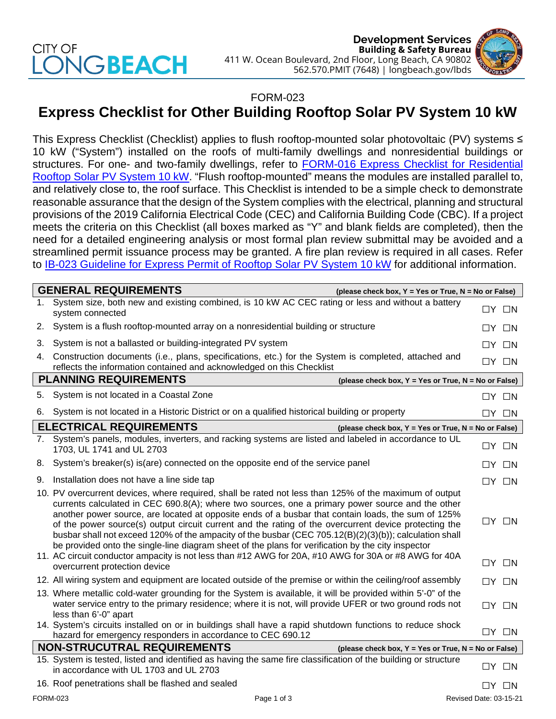## CITY OF **JGBEACH**



## FORM-023

## **Express Checklist for Other Building Rooftop Solar PV System 10 kW**

This Express Checklist (Checklist) applies to flush rooftop-mounted solar photovoltaic (PV) systems ≤ 10 kW ("System") installed on the roofs of multi-family dwellings and nonresidential buildings or structures. For one- and two-family dwellings, refer to **FORM-016 Express Checklist for Residential** [Rooftop Solar PV System 10 kW.](http://www.longbeach.gov/lbds/building/permit-center/solar-permit/) "Flush rooftop-mounted" means the modules are installed parallel to, and relatively close to, the roof surface. This Checklist is intended to be a simple check to demonstrate reasonable assurance that the design of the System complies with the electrical, planning and structural provisions of the 2019 California Electrical Code (CEC) and California Building Code (CBC). If a project meets the criteria on this Checklist (all boxes marked as "Y" and blank fields are completed), then the need for a detailed engineering analysis or most formal plan review submittal may be avoided and a streamlined permit issuance process may be granted. A fire plan review is required in all cases. Refer to [IB-023 Guideline for Express Permit of Rooftop Solar PV System 10](http://www.longbeach.gov/lbds/building/inspection/ib/) kW for additional information.

|                                                                                            | <b>GENERAL REQUIREMENTS</b><br>(please check box, Y = Yes or True, N = No or False)                                                                                                                                                                                                                                                                                                                                                                                                                                                                                                                                                                                                                                                                |  |                   |  |  |
|--------------------------------------------------------------------------------------------|----------------------------------------------------------------------------------------------------------------------------------------------------------------------------------------------------------------------------------------------------------------------------------------------------------------------------------------------------------------------------------------------------------------------------------------------------------------------------------------------------------------------------------------------------------------------------------------------------------------------------------------------------------------------------------------------------------------------------------------------------|--|-------------------|--|--|
| 1.                                                                                         | System size, both new and existing combined, is 10 kW AC CEC rating or less and without a battery<br>system connected                                                                                                                                                                                                                                                                                                                                                                                                                                                                                                                                                                                                                              |  | $\Box Y$ $\Box N$ |  |  |
| 2.                                                                                         | System is a flush rooftop-mounted array on a nonresidential building or structure                                                                                                                                                                                                                                                                                                                                                                                                                                                                                                                                                                                                                                                                  |  | $\Box Y$ $\Box N$ |  |  |
| 3.                                                                                         | System is not a ballasted or building-integrated PV system                                                                                                                                                                                                                                                                                                                                                                                                                                                                                                                                                                                                                                                                                         |  | $\Box Y$ $\Box N$ |  |  |
| 4.                                                                                         | Construction documents (i.e., plans, specifications, etc.) for the System is completed, attached and<br>reflects the information contained and acknowledged on this Checklist                                                                                                                                                                                                                                                                                                                                                                                                                                                                                                                                                                      |  | $\Box Y$ $\Box N$ |  |  |
| <b>PLANNING REQUIREMENTS</b><br>(please check box, Y = Yes or True, N = No or False)       |                                                                                                                                                                                                                                                                                                                                                                                                                                                                                                                                                                                                                                                                                                                                                    |  |                   |  |  |
| 5.                                                                                         | System is not located in a Coastal Zone                                                                                                                                                                                                                                                                                                                                                                                                                                                                                                                                                                                                                                                                                                            |  | $\Box Y$ $\Box N$ |  |  |
| 6.                                                                                         | System is not located in a Historic District or on a qualified historical building or property                                                                                                                                                                                                                                                                                                                                                                                                                                                                                                                                                                                                                                                     |  | $\Box Y$ $\Box N$ |  |  |
| <b>ELECTRICAL REQUIREMENTS</b><br>(please check box, $Y = Yes$ or True, $N = No$ or False) |                                                                                                                                                                                                                                                                                                                                                                                                                                                                                                                                                                                                                                                                                                                                                    |  |                   |  |  |
|                                                                                            | 7. System's panels, modules, inverters, and racking systems are listed and labeled in accordance to UL<br>1703, UL 1741 and UL 2703                                                                                                                                                                                                                                                                                                                                                                                                                                                                                                                                                                                                                |  | $\Box Y$ $\Box N$ |  |  |
|                                                                                            | 8. System's breaker(s) is(are) connected on the opposite end of the service panel                                                                                                                                                                                                                                                                                                                                                                                                                                                                                                                                                                                                                                                                  |  | $\Box Y$ $\Box N$ |  |  |
| 9.                                                                                         | Installation does not have a line side tap                                                                                                                                                                                                                                                                                                                                                                                                                                                                                                                                                                                                                                                                                                         |  | $\Box Y$ $\Box N$ |  |  |
|                                                                                            | 10. PV overcurrent devices, where required, shall be rated not less than 125% of the maximum of output<br>currents calculated in CEC 690.8(A); where two sources, one a primary power source and the other<br>another power source, are located at opposite ends of a busbar that contain loads, the sum of 125%<br>of the power source(s) output circuit current and the rating of the overcurrent device protecting the<br>busbar shall not exceed 120% of the ampacity of the busbar (CEC 705.12(B)(2)(3)(b)); calculation shall<br>be provided onto the single-line diagram sheet of the plans for verification by the city inspector<br>11. AC circuit conductor ampacity is not less than #12 AWG for 20A, #10 AWG for 30A or #8 AWG for 40A |  | $\Box Y$ $\Box N$ |  |  |
|                                                                                            | overcurrent protection device                                                                                                                                                                                                                                                                                                                                                                                                                                                                                                                                                                                                                                                                                                                      |  | $\Box Y$ $\Box N$ |  |  |
|                                                                                            | 12. All wiring system and equipment are located outside of the premise or within the ceiling/roof assembly                                                                                                                                                                                                                                                                                                                                                                                                                                                                                                                                                                                                                                         |  | $\Box Y$ $\Box N$ |  |  |
|                                                                                            | 13. Where metallic cold-water grounding for the System is available, it will be provided within 5'-0" of the<br>water service entry to the primary residence; where it is not, will provide UFER or two ground rods not<br>less than 6'-0" apart                                                                                                                                                                                                                                                                                                                                                                                                                                                                                                   |  | $\Box Y$ $\Box N$ |  |  |
|                                                                                            | 14. System's circuits installed on or in buildings shall have a rapid shutdown functions to reduce shock<br>hazard for emergency responders in accordance to CEC 690.12                                                                                                                                                                                                                                                                                                                                                                                                                                                                                                                                                                            |  | $\Box Y$ $\Box N$ |  |  |
| <b>NON-STRUCUTRAL REQUIREMENTS</b><br>(please check box, Y = Yes or True, N = No or False) |                                                                                                                                                                                                                                                                                                                                                                                                                                                                                                                                                                                                                                                                                                                                                    |  |                   |  |  |
|                                                                                            | 15. System is tested, listed and identified as having the same fire classification of the building or structure<br>in accordance with UL 1703 and UL 2703                                                                                                                                                                                                                                                                                                                                                                                                                                                                                                                                                                                          |  | $\Box Y$ $\Box N$ |  |  |
|                                                                                            | 16. Roof penetrations shall be flashed and sealed                                                                                                                                                                                                                                                                                                                                                                                                                                                                                                                                                                                                                                                                                                  |  | $\Box Y$ $\Box N$ |  |  |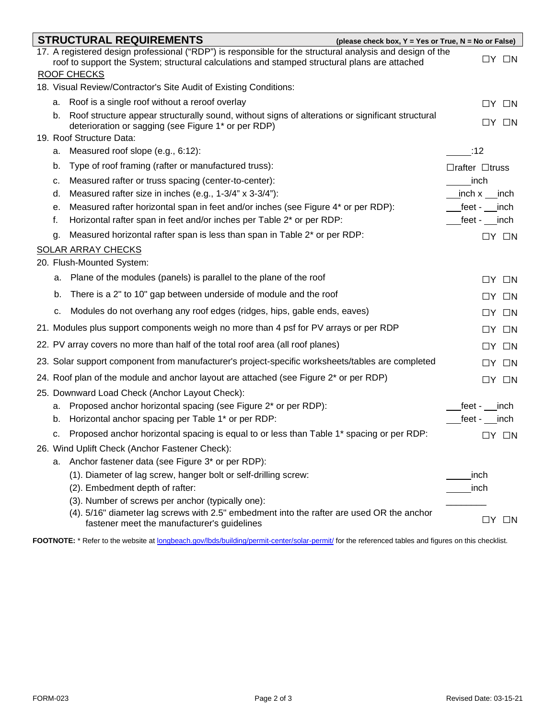|                                                                                         |    | <b>STRUCTURAL REQUIREMENTS</b><br>(please check box, $Y = Yes$ or True, $N = No$ or False)                                               |                            |  |  |  |  |
|-----------------------------------------------------------------------------------------|----|------------------------------------------------------------------------------------------------------------------------------------------|----------------------------|--|--|--|--|
|                                                                                         |    | 17. A registered design professional ("RDP") is responsible for the structural analysis and design of the                                | $\Box Y$ $\Box N$          |  |  |  |  |
|                                                                                         |    | roof to support the System; structural calculations and stamped structural plans are attached                                            |                            |  |  |  |  |
| <b>ROOF CHECKS</b><br>18. Visual Review/Contractor's Site Audit of Existing Conditions: |    |                                                                                                                                          |                            |  |  |  |  |
|                                                                                         |    | a. Roof is a single roof without a reroof overlay                                                                                        |                            |  |  |  |  |
|                                                                                         | b. | Roof structure appear structurally sound, without signs of alterations or significant structural                                         | $\Box Y$ $\Box N$          |  |  |  |  |
|                                                                                         |    | deterioration or sagging (see Figure 1* or per RDP)<br>19. Roof Structure Data:                                                          | $\Box Y$ $\Box N$          |  |  |  |  |
|                                                                                         |    | a. Measured roof slope (e.g., 6:12):                                                                                                     | :12                        |  |  |  |  |
|                                                                                         | b. | Type of roof framing (rafter or manufactured truss):                                                                                     | $\Box$ rafter $\Box$ truss |  |  |  |  |
|                                                                                         | с. | Measured rafter or truss spacing (center-to-center):                                                                                     | inch                       |  |  |  |  |
|                                                                                         | d. | Measured rafter size in inches (e.g., 1-3/4" x 3-3/4"):                                                                                  | inch x __inch              |  |  |  |  |
|                                                                                         | е. | Measured rafter horizontal span in feet and/or inches (see Figure 4* or per RDP):                                                        | feet - inch                |  |  |  |  |
|                                                                                         | f. | Horizontal rafter span in feet and/or inches per Table 2* or per RDP:                                                                    | feet - inch                |  |  |  |  |
|                                                                                         | q. | Measured horizontal rafter span is less than span in Table 2* or per RDP:                                                                | $\Box Y$ $\Box N$          |  |  |  |  |
|                                                                                         |    | <b>SOLAR ARRAY CHECKS</b>                                                                                                                |                            |  |  |  |  |
|                                                                                         |    | 20. Flush-Mounted System:                                                                                                                |                            |  |  |  |  |
|                                                                                         |    | a. Plane of the modules (panels) is parallel to the plane of the roof                                                                    | $\Box Y$ $\Box N$          |  |  |  |  |
|                                                                                         | b. | There is a 2" to 10" gap between underside of module and the roof                                                                        | $\Box Y$ $\Box N$          |  |  |  |  |
|                                                                                         | c. | Modules do not overhang any roof edges (ridges, hips, gable ends, eaves)                                                                 | $\Box Y$ $\Box N$          |  |  |  |  |
|                                                                                         |    | 21. Modules plus support components weigh no more than 4 psf for PV arrays or per RDP                                                    | $\Box Y$ $\Box N$          |  |  |  |  |
|                                                                                         |    | 22. PV array covers no more than half of the total roof area (all roof planes)                                                           | $\Box Y$ $\Box N$          |  |  |  |  |
|                                                                                         |    | 23. Solar support component from manufacturer's project-specific worksheets/tables are completed                                         | $\Box Y$ $\Box N$          |  |  |  |  |
|                                                                                         |    | 24. Roof plan of the module and anchor layout are attached (see Figure 2* or per RDP)                                                    | $\Box Y$ $\Box N$          |  |  |  |  |
|                                                                                         |    | 25. Downward Load Check (Anchor Layout Check):                                                                                           |                            |  |  |  |  |
|                                                                                         | а. | Proposed anchor horizontal spacing (see Figure 2* or per RDP):                                                                           | feet - inch                |  |  |  |  |
|                                                                                         |    | b. Horizontal anchor spacing per Table 1* or per RDP:                                                                                    | feet - inch                |  |  |  |  |
|                                                                                         |    | c. Proposed anchor horizontal spacing is equal to or less than Table 1 <sup>*</sup> spacing or per RDP:                                  | $\Box Y$ $\Box N$          |  |  |  |  |
|                                                                                         |    | 26. Wind Uplift Check (Anchor Fastener Check):                                                                                           |                            |  |  |  |  |
|                                                                                         |    | a. Anchor fastener data (see Figure 3* or per RDP):                                                                                      |                            |  |  |  |  |
|                                                                                         |    | (1). Diameter of lag screw, hanger bolt or self-drilling screw:                                                                          | inch                       |  |  |  |  |
|                                                                                         |    | (2). Embedment depth of rafter:                                                                                                          | _inch                      |  |  |  |  |
|                                                                                         |    | (3). Number of screws per anchor (typically one):                                                                                        |                            |  |  |  |  |
|                                                                                         |    | (4). 5/16" diameter lag screws with 2.5" embedment into the rafter are used OR the anchor<br>fastener meet the manufacturer's guidelines | $\Box Y$ $\Box N$          |  |  |  |  |

FOOTNOTE: \* Refer to the website at [longbeach.gov/lbds/building/permit-center/solar-permit/](http://www.longbeach.gov/lbds/building/permit-center/solar-permit/) for the referenced tables and figures on this checklist.